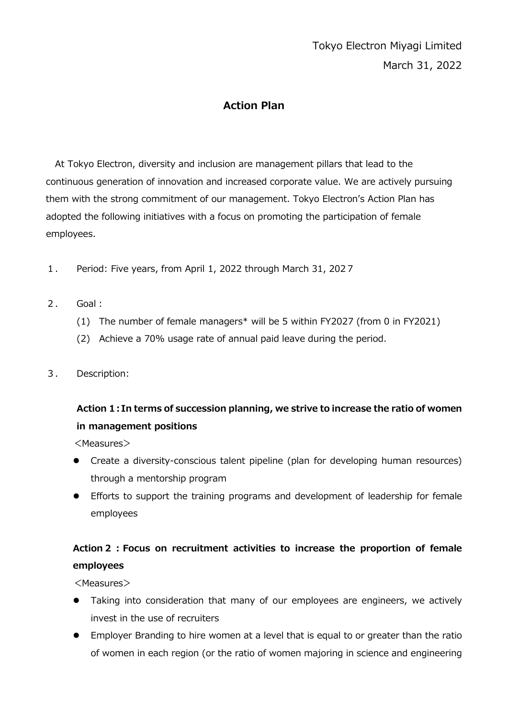# Tokyo Electron Miyagi Limited March 31, 2022

#### **Action Plan**

At Tokyo Electron, diversity and inclusion are management pillars that lead to the continuous generation of innovation and increased corporate value. We are actively pursuing them with the strong commitment of our management. Tokyo Electron's Action Plan has adopted the following initiatives with a focus on promoting the participation of female employees.

- 1. Period: Five years, from April 1, 2022 through March 31, 2027
- 2. Goal:
	- (1) The number of female managers\* will be 5 within FY2027 (from 0 in FY2021)
	- (2) Achieve a 70% usage rate of annual paid leave during the period.
- 3. Description:

## **Action 1:In terms of succession planning, we strive to increase the ratio of women in management positions**

<Measures>

- Create a diversity-conscious talent pipeline (plan for developing human resources) through a mentorship program
- Efforts to support the training programs and development of leadership for female employees

## **Action2:Focus on recruitment activities to increase the proportion of female employees**

<Measures>

- Taking into consideration that many of our employees are engineers, we actively invest in the use of recruiters
- Employer Branding to hire women at a level that is equal to or greater than the ratio of women in each region (or the ratio of women majoring in science and engineering